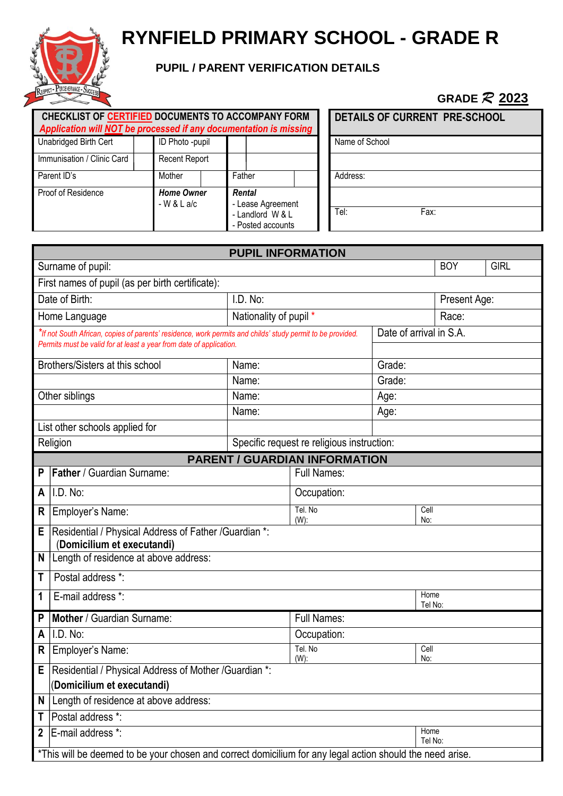

# **RYNFIELD PRIMARY SCHOOL - GRADE R**

## **PUPIL / PARENT VERIFICATION DETAILS**

# **GRADE** *R* **2023**

| CHECKLIST OF CERTIFIED DOCUMENTS TO ACCOMPANY FORM<br>Application will NOT be processed if any documentation is missing |                                   |                                                                      | <b>DETAILS OF CURRENT PRE-SCHOOL</b> |
|-------------------------------------------------------------------------------------------------------------------------|-----------------------------------|----------------------------------------------------------------------|--------------------------------------|
| Unabridged Birth Cert                                                                                                   | ID Photo -pupil                   |                                                                      | Name of School                       |
| Immunisation / Clinic Card                                                                                              | <b>Recent Report</b>              |                                                                      |                                      |
| Parent ID's                                                                                                             | Mother                            | Father                                                               | Address:                             |
| Proof of Residence                                                                                                      | <b>Home Owner</b><br>$-W & L$ a/c | Rental<br>- Lease Agreement<br>- Landlord W & L<br>- Posted accounts | Tel:<br>Fax:                         |

| <b>PUPIL INFORMATION</b>                                                                                   |                                                                                                           |                                   |                                            |                         |                 |             |  |
|------------------------------------------------------------------------------------------------------------|-----------------------------------------------------------------------------------------------------------|-----------------------------------|--------------------------------------------|-------------------------|-----------------|-------------|--|
|                                                                                                            | Surname of pupil:                                                                                         |                                   |                                            |                         | <b>BOY</b>      | <b>GIRL</b> |  |
|                                                                                                            | First names of pupil (as per birth certificate):                                                          |                                   |                                            |                         |                 |             |  |
|                                                                                                            | Date of Birth:                                                                                            | I.D. No:                          |                                            |                         | Present Age:    |             |  |
|                                                                                                            | Home Language                                                                                             | Nationality of pupil *            |                                            |                         | Race:           |             |  |
| *If not South African, copies of parents' residence, work permits and childs' study permit to be provided. |                                                                                                           |                                   |                                            | Date of arrival in S.A. |                 |             |  |
| Permits must be valid for at least a year from date of application.                                        |                                                                                                           |                                   |                                            |                         |                 |             |  |
|                                                                                                            | Brothers/Sisters at this school                                                                           | Name:                             |                                            | Grade:                  |                 |             |  |
|                                                                                                            |                                                                                                           | Name:                             |                                            | Grade:                  |                 |             |  |
|                                                                                                            | Other siblings                                                                                            | Name:                             |                                            | Age:                    |                 |             |  |
|                                                                                                            |                                                                                                           | Name:                             |                                            | Age:                    |                 |             |  |
|                                                                                                            | List other schools applied for                                                                            |                                   |                                            |                         |                 |             |  |
|                                                                                                            | Religion                                                                                                  |                                   | Specific request re religious instruction: |                         |                 |             |  |
|                                                                                                            |                                                                                                           |                                   | <b>PARENT / GUARDIAN INFORMATION</b>       |                         |                 |             |  |
| P                                                                                                          | Father / Guardian Surname:                                                                                |                                   | <b>Full Names:</b>                         |                         |                 |             |  |
| A                                                                                                          | I.D. No:                                                                                                  |                                   | Occupation:                                |                         |                 |             |  |
| R                                                                                                          | Employer's Name:                                                                                          |                                   | Tel. No<br>Cell<br>$(W)$ :<br>No:          |                         |                 |             |  |
| Residential / Physical Address of Father / Guardian *:<br>Е<br>(Domicilium et executandi)                  |                                                                                                           |                                   |                                            |                         |                 |             |  |
| N<br>Length of residence at above address:                                                                 |                                                                                                           |                                   |                                            |                         |                 |             |  |
| Postal address *:<br>T                                                                                     |                                                                                                           |                                   |                                            |                         |                 |             |  |
| 1                                                                                                          | E-mail address *:                                                                                         | Home<br>Tel No:                   |                                            |                         |                 |             |  |
| P                                                                                                          | Mother / Guardian Surname:                                                                                | <b>Full Names:</b>                |                                            |                         |                 |             |  |
| A                                                                                                          | I.D. No:                                                                                                  | Occupation:                       |                                            |                         |                 |             |  |
| R                                                                                                          | Employer's Name:                                                                                          | Tel. No<br>Cell<br>$(W)$ :<br>No: |                                            |                         |                 |             |  |
|                                                                                                            | Residential / Physical Address of Mother / Guardian *:<br>F.                                              |                                   |                                            |                         |                 |             |  |
| (Domicilium et executandi)                                                                                 |                                                                                                           |                                   |                                            |                         |                 |             |  |
| Length of residence at above address:<br>N                                                                 |                                                                                                           |                                   |                                            |                         |                 |             |  |
| Postal address *:<br>Τ                                                                                     |                                                                                                           |                                   |                                            |                         |                 |             |  |
| $\mathbf 2$                                                                                                | E-mail address <sup>*:</sup>                                                                              |                                   |                                            |                         | Home<br>Tel No: |             |  |
|                                                                                                            | *This will be deemed to be your chosen and correct domicilium for any legal action should the need arise. |                                   |                                            |                         |                 |             |  |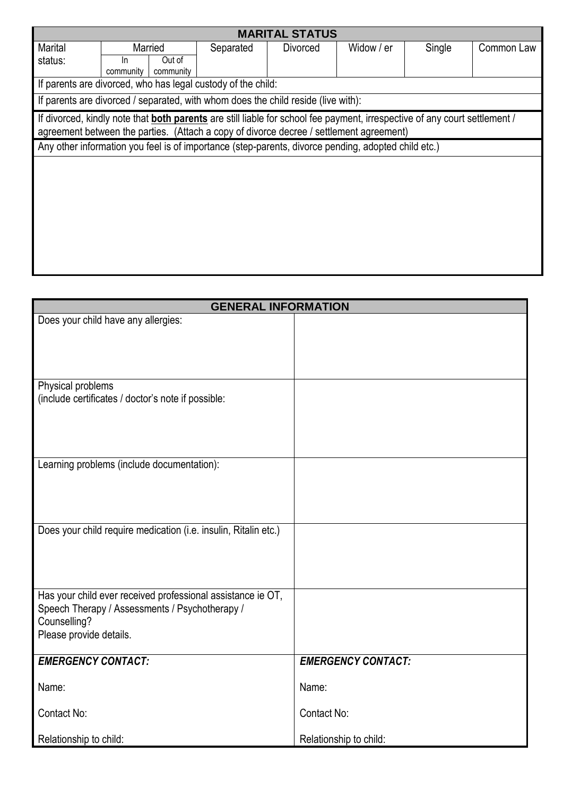| <b>MARITAL STATUS</b>                                                                                                                                                                                                        |                                                              |                     |           |          |            |        |            |
|------------------------------------------------------------------------------------------------------------------------------------------------------------------------------------------------------------------------------|--------------------------------------------------------------|---------------------|-----------|----------|------------|--------|------------|
| Marital                                                                                                                                                                                                                      |                                                              | Married             | Separated | Divorced | Widow / er | Single | Common Law |
| status:                                                                                                                                                                                                                      | -ln<br>community                                             | Out of<br>community |           |          |            |        |            |
|                                                                                                                                                                                                                              | If parents are divorced, who has legal custody of the child: |                     |           |          |            |        |            |
| If parents are divorced / separated, with whom does the child reside (live with):                                                                                                                                            |                                                              |                     |           |          |            |        |            |
| If divorced, kindly note that <b>both parents</b> are still liable for school fee payment, irrespective of any court settlement /<br>agreement between the parties. (Attach a copy of divorce decree / settlement agreement) |                                                              |                     |           |          |            |        |            |
| Any other information you feel is of importance (step-parents, divorce pending, adopted child etc.)                                                                                                                          |                                                              |                     |           |          |            |        |            |
|                                                                                                                                                                                                                              |                                                              |                     |           |          |            |        |            |
|                                                                                                                                                                                                                              |                                                              |                     |           |          |            |        |            |
|                                                                                                                                                                                                                              |                                                              |                     |           |          |            |        |            |
|                                                                                                                                                                                                                              |                                                              |                     |           |          |            |        |            |
|                                                                                                                                                                                                                              |                                                              |                     |           |          |            |        |            |
|                                                                                                                                                                                                                              |                                                              |                     |           |          |            |        |            |
|                                                                                                                                                                                                                              |                                                              |                     |           |          |            |        |            |

| <b>GENERAL INFORMATION</b>                                      |                           |  |  |  |
|-----------------------------------------------------------------|---------------------------|--|--|--|
| Does your child have any allergies:                             |                           |  |  |  |
|                                                                 |                           |  |  |  |
|                                                                 |                           |  |  |  |
|                                                                 |                           |  |  |  |
| Physical problems                                               |                           |  |  |  |
| (include certificates / doctor's note if possible:              |                           |  |  |  |
|                                                                 |                           |  |  |  |
|                                                                 |                           |  |  |  |
|                                                                 |                           |  |  |  |
| Learning problems (include documentation):                      |                           |  |  |  |
|                                                                 |                           |  |  |  |
|                                                                 |                           |  |  |  |
|                                                                 |                           |  |  |  |
| Does your child require medication (i.e. insulin, Ritalin etc.) |                           |  |  |  |
|                                                                 |                           |  |  |  |
|                                                                 |                           |  |  |  |
| Has your child ever received professional assistance ie OT,     |                           |  |  |  |
| Speech Therapy / Assessments / Psychotherapy /                  |                           |  |  |  |
| Counselling?                                                    |                           |  |  |  |
| Please provide details.                                         |                           |  |  |  |
| <b>EMERGENCY CONTACT:</b>                                       | <b>EMERGENCY CONTACT:</b> |  |  |  |
|                                                                 |                           |  |  |  |
| Name:                                                           | Name:                     |  |  |  |
| Contact No:                                                     | Contact No:               |  |  |  |
|                                                                 |                           |  |  |  |
| Relationship to child:                                          | Relationship to child:    |  |  |  |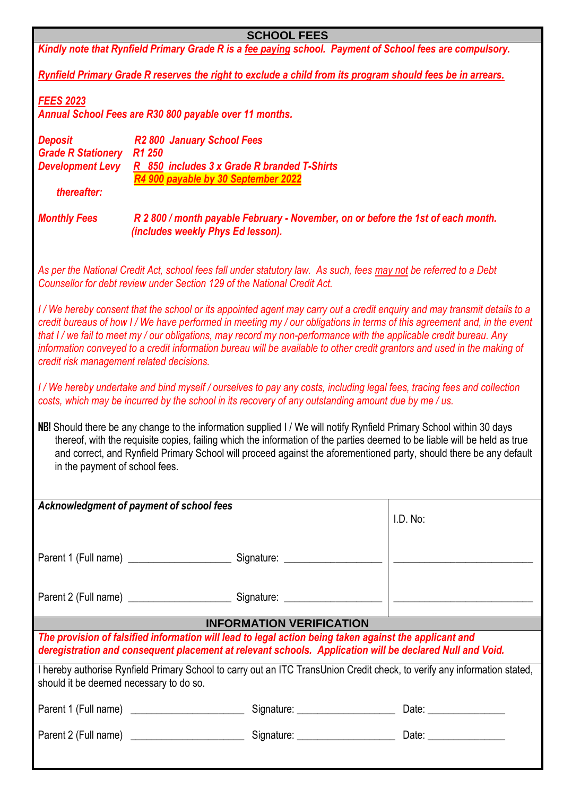| <b>SCHOOL FEES</b>                                                                                                                                                                                                                                                                                                                                                                                                                                                                                                                                |                                                                                                                                                                                               |  |  |                                                                                                                     |  |  |
|---------------------------------------------------------------------------------------------------------------------------------------------------------------------------------------------------------------------------------------------------------------------------------------------------------------------------------------------------------------------------------------------------------------------------------------------------------------------------------------------------------------------------------------------------|-----------------------------------------------------------------------------------------------------------------------------------------------------------------------------------------------|--|--|---------------------------------------------------------------------------------------------------------------------|--|--|
|                                                                                                                                                                                                                                                                                                                                                                                                                                                                                                                                                   | Kindly note that Rynfield Primary Grade R is a fee paying school. Payment of School fees are compulsory.                                                                                      |  |  |                                                                                                                     |  |  |
|                                                                                                                                                                                                                                                                                                                                                                                                                                                                                                                                                   | Rynfield Primary Grade R reserves the right to exclude a child from its program should fees be in arrears.                                                                                    |  |  |                                                                                                                     |  |  |
| <b>FEES 2023</b>                                                                                                                                                                                                                                                                                                                                                                                                                                                                                                                                  | Annual School Fees are R30 800 payable over 11 months.                                                                                                                                        |  |  |                                                                                                                     |  |  |
| <b>Deposit</b><br><b>Grade R Stationery</b><br><b>Development Levy</b><br>thereafter:                                                                                                                                                                                                                                                                                                                                                                                                                                                             | R <sub>2</sub> 800 January School Fees<br>R <sub>1</sub> 250<br>R 850 includes 3 x Grade R branded T-Shirts<br>R4 900 payable by 30 September 2022                                            |  |  |                                                                                                                     |  |  |
| <b>Monthly Fees</b>                                                                                                                                                                                                                                                                                                                                                                                                                                                                                                                               | R 2 800 / month payable February - November, on or before the 1st of each month.<br>(includes weekly Phys Ed lesson).                                                                         |  |  |                                                                                                                     |  |  |
|                                                                                                                                                                                                                                                                                                                                                                                                                                                                                                                                                   | As per the National Credit Act, school fees fall under statutory law. As such, fees may not be referred to a Debt<br>Counsellor for debt review under Section 129 of the National Credit Act. |  |  |                                                                                                                     |  |  |
| I/We hereby consent that the school or its appointed agent may carry out a credit enquiry and may transmit details to a<br>credit bureaus of how I/We have performed in meeting my / our obligations in terms of this agreement and, in the event<br>that I / we fail to meet my / our obligations, may record my non-performance with the applicable credit bureau. Any<br>information conveyed to a credit information bureau will be available to other credit grantors and used in the making of<br>credit risk management related decisions. |                                                                                                                                                                                               |  |  |                                                                                                                     |  |  |
|                                                                                                                                                                                                                                                                                                                                                                                                                                                                                                                                                   | costs, which may be incurred by the school in its recovery of any outstanding amount due by me / us.                                                                                          |  |  | I/We hereby undertake and bind myself/ourselves to pay any costs, including legal fees, tracing fees and collection |  |  |
| NB! Should there be any change to the information supplied I / We will notify Rynfield Primary School within 30 days<br>thereof, with the requisite copies, failing which the information of the parties deemed to be liable will be held as true<br>and correct, and Rynfield Primary School will proceed against the aforementioned party, should there be any default<br>in the payment of school fees.                                                                                                                                        |                                                                                                                                                                                               |  |  |                                                                                                                     |  |  |
| Acknowledgment of payment of school fees                                                                                                                                                                                                                                                                                                                                                                                                                                                                                                          |                                                                                                                                                                                               |  |  |                                                                                                                     |  |  |
|                                                                                                                                                                                                                                                                                                                                                                                                                                                                                                                                                   |                                                                                                                                                                                               |  |  | I.D. No:                                                                                                            |  |  |
|                                                                                                                                                                                                                                                                                                                                                                                                                                                                                                                                                   |                                                                                                                                                                                               |  |  |                                                                                                                     |  |  |
|                                                                                                                                                                                                                                                                                                                                                                                                                                                                                                                                                   |                                                                                                                                                                                               |  |  |                                                                                                                     |  |  |
| <b>INFORMATION VERIFICATION</b>                                                                                                                                                                                                                                                                                                                                                                                                                                                                                                                   |                                                                                                                                                                                               |  |  |                                                                                                                     |  |  |
| The provision of falsified information will lead to legal action being taken against the applicant and<br>deregistration and consequent placement at relevant schools. Application will be declared Null and Void.                                                                                                                                                                                                                                                                                                                                |                                                                                                                                                                                               |  |  |                                                                                                                     |  |  |
| I hereby authorise Rynfield Primary School to carry out an ITC TransUnion Credit check, to verify any information stated,<br>should it be deemed necessary to do so.                                                                                                                                                                                                                                                                                                                                                                              |                                                                                                                                                                                               |  |  |                                                                                                                     |  |  |
|                                                                                                                                                                                                                                                                                                                                                                                                                                                                                                                                                   |                                                                                                                                                                                               |  |  |                                                                                                                     |  |  |
|                                                                                                                                                                                                                                                                                                                                                                                                                                                                                                                                                   |                                                                                                                                                                                               |  |  |                                                                                                                     |  |  |
|                                                                                                                                                                                                                                                                                                                                                                                                                                                                                                                                                   |                                                                                                                                                                                               |  |  |                                                                                                                     |  |  |